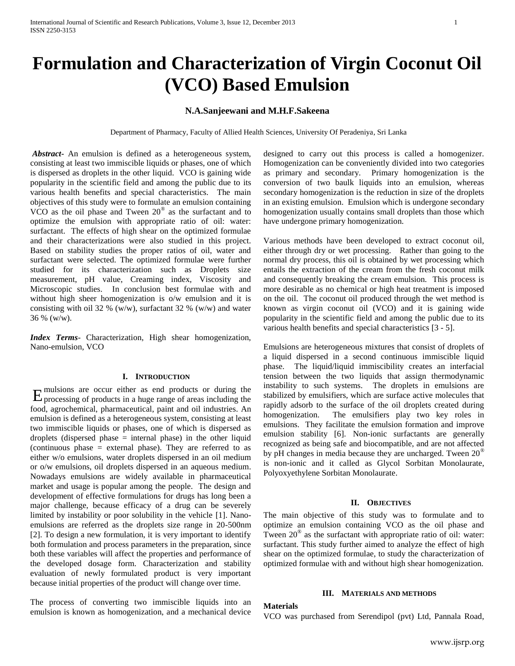# **Formulation and Characterization of Virgin Coconut Oil (VCO) Based Emulsion**

## **N.A.Sanjeewani and M.H.F.Sakeena**

Department of Pharmacy, Faculty of Allied Health Sciences, University Of Peradeniya, Sri Lanka

*Abstract***-** An emulsion is defined as a heterogeneous system, consisting at least two immiscible liquids or phases, one of which is dispersed as droplets in the other liquid. VCO is gaining wide popularity in the scientific field and among the public due to its various health benefits and special characteristics. The main objectives of this study were to formulate an emulsion containing VCO as the oil phase and Tween  $20^{\circ}$  as the surfactant and to optimize the emulsion with appropriate ratio of oil: water: surfactant. The effects of high shear on the optimized formulae and their characterizations were also studied in this project. Based on stability studies the proper ratios of oil, water and surfactant were selected. The optimized formulae were further studied for its characterization such as Droplets size measurement, pH value, Creaming index, Viscosity and Microscopic studies. In conclusion best formulae with and without high sheer homogenization is o/w emulsion and it is consisting with oil 32 % (w/w), surfactant 32 % (w/w) and water 36 % (w/w).

*Index Terms*- Characterization, High shear homogenization, Nano-emulsion, VCO

#### **I. INTRODUCTION**

mulsions are occur either as end products or during the  $E_{\text{processing of products in a huge range of areas including the}}$ food, agrochemical, pharmaceutical, paint and oil industries. An emulsion is defined as a heterogeneous system, consisting at least two immiscible liquids or phases, one of which is dispersed as droplets (dispersed phase = internal phase) in the other liquid (continuous phase = external phase). They are referred to as either w/o emulsions, water droplets dispersed in an oil medium or o/w emulsions, oil droplets dispersed in an aqueous medium. Nowadays emulsions are widely available in pharmaceutical market and usage is popular among the people. The design and development of effective formulations for drugs has long been a major challenge, because efficacy of a drug can be severely limited by instability or poor solubility in the vehicle [1]. Nanoemulsions are referred as the droplets size range in 20-500nm [2]. To design a new formulation, it is very important to identify both formulation and process parameters in the preparation, since both these variables will affect the properties and performance of the developed dosage form. Characterization and stability evaluation of newly formulated product is very important because initial properties of the product will change over time.

The process of converting two immiscible liquids into an emulsion is known as homogenization, and a mechanical device designed to carry out this process is called a homogenizer. Homogenization can be conveniently divided into two categories as primary and secondary. Primary homogenization is the conversion of two baulk liquids into an emulsion, whereas secondary homogenization is the reduction in size of the droplets in an existing emulsion. Emulsion which is undergone secondary homogenization usually contains small droplets than those which have undergone primary homogenization.

Various methods have been developed to extract coconut oil, either through dry or wet processing. Rather than going to the normal dry process, this oil is obtained by wet processing which entails the extraction of the cream from the fresh coconut milk and consequently breaking the cream emulsion. This process is more desirable as no chemical or high heat treatment is imposed on the oil. The coconut oil produced through the wet method is known as virgin coconut oil (VCO) and it is gaining wide popularity in the scientific field and among the public due to its various health benefits and special characteristics [3 - 5].

Emulsions are heterogeneous mixtures that consist of droplets of a liquid dispersed in a second continuous immiscible liquid phase. The liquid/liquid immiscibility creates an interfacial tension between the two liquids that assign thermodynamic instability to such systems. The droplets in emulsions are stabilized by emulsifiers, which are surface active molecules that rapidly adsorb to the surface of the oil droplets created during homogenization. The emulsifiers play two key roles in emulsions. They facilitate the emulsion formation and improve emulsion stability [6]. Non-ionic surfactants are generally recognized as being safe and biocompatible, and are not affected by pH changes in media because they are uncharged. Tween 20<sup>®</sup> is non-ionic and it called as Glycol Sorbitan Monolaurate, Polyoxyethylene Sorbitan Monolaurate.

#### **II. OBJECTIVES**

The main objective of this study was to formulate and to optimize an emulsion containing VCO as the oil phase and Tween 20® as the surfactant with appropriate ratio of oil: water: surfactant. This study further aimed to analyze the effect of high shear on the optimized formulae, to study the characterization of optimized formulae with and without high shear homogenization.

#### **III. MATERIALS AND METHODS**

#### **Materials**

VCO was purchased from Serendipol (pvt) Ltd, Pannala Road,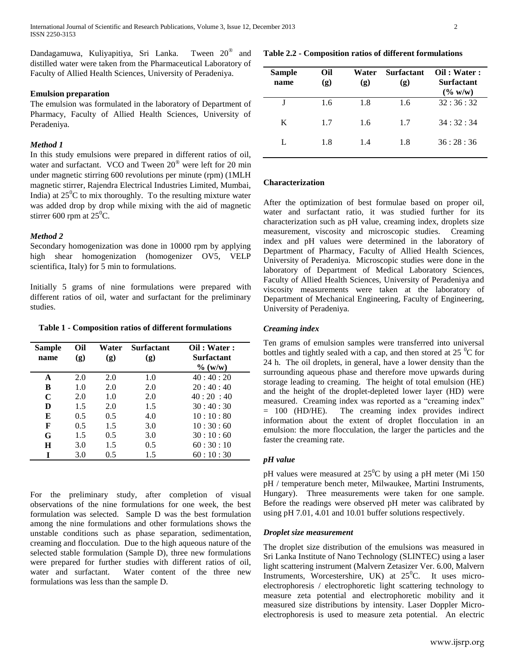Dandagamuwa, Kuliyapitiya, Sri Lanka. Tween  $20^{\circ}$  and distilled water were taken from the Pharmaceutical Laboratory of Faculty of Allied Health Sciences, University of Peradeniya.

#### **Emulsion preparation**

The emulsion was formulated in the laboratory of Department of Pharmacy, Faculty of Allied Health Sciences, University of Peradeniya.

#### *Method 1*

In this study emulsions were prepared in different ratios of oil, water and surfactant. VCO and Tween 20® were left for 20 min under magnetic stirring 600 revolutions per minute (rpm) (1MLH magnetic stirrer, Rajendra Electrical Industries Limited, Mumbai, India) at  $25^{\circ}$ C to mix thoroughly. To the resulting mixture water was added drop by drop while mixing with the aid of magnetic stirrer 600 rpm at  $25^{\circ}$ C.

## *Method 2*

Secondary homogenization was done in 10000 rpm by applying high shear homogenization (homogenizer OV5, VELP scientifica, Italy) for 5 min to formulations.

Initially 5 grams of nine formulations were prepared with different ratios of oil, water and surfactant for the preliminary studies.

**Table 1 - Composition ratios of different formulations**

| <b>Sample</b><br>name | Oil<br>(g) | Water<br>(g) | <b>Surfactant</b><br>(g) | Oil: Water:<br><b>Surfactant</b><br>$\%$ (w/w) |
|-----------------------|------------|--------------|--------------------------|------------------------------------------------|
| A                     | 2.0        | 2.0          | 1.0                      | 40:40:20                                       |
| B                     | 1.0        | 2.0          | 2.0                      | 20:40:40                                       |
| C                     | 2.0        | 1.0          | 2.0                      | 40:20:40                                       |
| D                     | 1.5        | 2.0          | 1.5                      | 30:40:30                                       |
| E                     | 0.5        | 0.5          | 4.0                      | 10:10:80                                       |
| F                     | 0.5        | 1.5          | 3.0                      | 10:30:60                                       |
| G                     | 1.5        | 0.5          | 3.0                      | 30:10:60                                       |
| Ħ                     | 3.0        | 1.5          | 0.5                      | 60:30:10                                       |
|                       | 3.0        | 0.5          | 1.5                      | 60:10:30                                       |

For the preliminary study, after completion of visual observations of the nine formulations for one week, the best formulation was selected. Sample D was the best formulation among the nine formulations and other formulations shows the unstable conditions such as phase separation, sedimentation, creaming and flocculation. Due to the high aqueous nature of the selected stable formulation (Sample D), three new formulations were prepared for further studies with different ratios of oil, water and surfactant. Water content of the three new formulations was less than the sample D.

## **Table 2.2 - Composition ratios of different formulations**

| Sample<br>name | Oil<br>(g) | Water<br>(g) | <b>Surfactant</b><br>(g) | Oil: Water:<br><b>Surfactant</b><br>$(\% w/w)$ |
|----------------|------------|--------------|--------------------------|------------------------------------------------|
|                | 1.6        | 1.8          | 1.6                      | 32:36:32                                       |
| K              | 1.7        | 1.6          | 1.7                      | 34:32:34                                       |
| L              | 1.8        | 1.4          | 1.8                      | 36:28:36                                       |

## **Characterization**

After the optimization of best formulae based on proper oil, water and surfactant ratio, it was studied further for its characterization such as pH value, creaming index, droplets size measurement, viscosity and microscopic studies. Creaming index and pH values were determined in the laboratory of Department of Pharmacy, Faculty of Allied Health Sciences, University of Peradeniya. Microscopic studies were done in the laboratory of Department of Medical Laboratory Sciences, Faculty of Allied Health Sciences, University of Peradeniya and viscosity measurements were taken at the laboratory of Department of Mechanical Engineering, Faculty of Engineering, University of Peradeniya.

## *Creaming index*

Ten grams of emulsion samples were transferred into universal bottles and tightly sealed with a cap, and then stored at  $25\text{ °C}$  for 24 h. The oil droplets, in general, have a lower density than the surrounding aqueous phase and therefore move upwards during storage leading to creaming. The height of total emulsion (HE) and the height of the droplet-depleted lower layer (HD) were measured. Creaming index was reported as a "creaming index" = 100 (HD/HE). The creaming index provides indirect information about the extent of droplet flocculation in an emulsion: the more flocculation, the larger the particles and the faster the creaming rate.

#### *pH value*

pH values were measured at  $25^{\circ}$ C by using a pH meter (Mi 150) pH / temperature bench meter, Milwaukee, Martini Instruments, Hungary). Three measurements were taken for one sample. Before the readings were observed pH meter was calibrated by using pH 7.01, 4.01 and 10.01 buffer solutions respectively.

#### *Droplet size measurement*

The droplet size distribution of the emulsions was measured in Sri Lanka Institute of Nano Technology (SLINTEC) using a laser light scattering instrument (Malvern Zetasizer Ver. 6.00, Malvern Instruments, Worcestershire, UK) at  $25^{\circ}$ C. It uses microelectrophoresis / electrophoretic light scattering technology to measure zeta potential and electrophoretic mobility and it measured size distributions by intensity. Laser Doppler Microelectrophoresis is used to measure zeta potential. An electric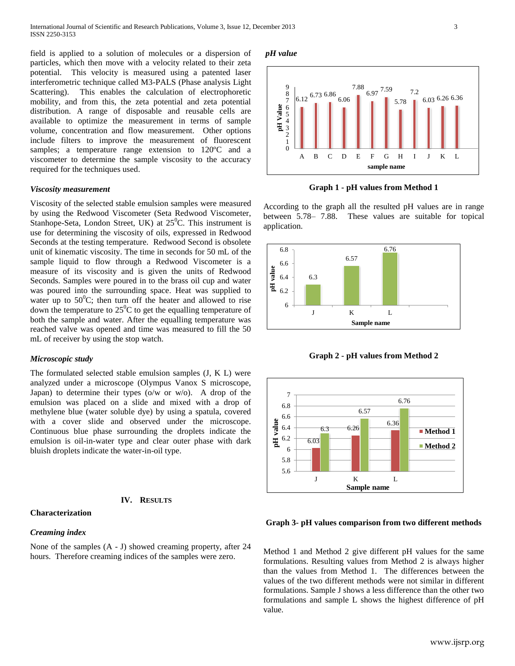field is applied to a solution of molecules or a dispersion of particles, which then move with a velocity related to their zeta potential. This velocity is measured using a patented laser interferometric technique called M3-PALS (Phase analysis Light Scattering). This enables the calculation of electrophoretic mobility, and from this, the zeta potential and zeta potential distribution. A range of disposable and reusable cells are available to optimize the measurement in terms of sample volume, concentration and flow measurement. Other options include filters to improve the measurement of fluorescent samples; a temperature range extension to 120ºC and a viscometer to determine the sample viscosity to the accuracy required for the techniques used.

#### *Viscosity measurement*

Viscosity of the selected stable emulsion samples were measured by using the Redwood Viscometer (Seta Redwood Viscometer, Stanhope-Seta, London Street, UK) at  $25^{\circ}$ C. This instrument is use for determining the viscosity of oils, expressed in Redwood Seconds at the testing temperature. Redwood Second is obsolete unit of kinematic viscosity. The time in seconds for 50 mL of the sample liquid to flow through a Redwood Viscometer is a measure of its viscosity and is given the units of Redwood Seconds. Samples were poured in to the brass oil cup and water was poured into the surrounding space. Heat was supplied to water up to  $50^{\circ}$ C; then turn off the heater and allowed to rise down the temperature to  $25^{\circ}$ C to get the equalling temperature of both the sample and water. After the equalling temperature was reached valve was opened and time was measured to fill the 50 mL of receiver by using the stop watch.

## *Microscopic study*

The formulated selected stable emulsion samples (J, K L) were analyzed under a microscope (Olympus Vanox S microscope, Japan) to determine their types (o/w or w/o). A drop of the emulsion was placed on a slide and mixed with a drop of methylene blue (water soluble dye) by using a spatula, covered with a cover slide and observed under the microscope. Continuous blue phase surrounding the droplets indicate the emulsion is oil-in-water type and clear outer phase with dark bluish droplets indicate the water-in-oil type.

### **IV. RESULTS**

#### **Characterization**

#### *Creaming index*

None of the samples (A - J) showed creaming property, after 24 hours. Therefore creaming indices of the samples were zero.

### *pH value*



**Graph 1 - pH values from Method 1**

According to the graph all the resulted pH values are in range between 5.78– 7.88. These values are suitable for topical application.



**Graph 2 - pH values from Method 2**



#### **Graph 3- pH values comparison from two different methods**

Method 1 and Method 2 give different pH values for the same formulations. Resulting values from Method 2 is always higher than the values from Method 1. The differences between the values of the two different methods were not similar in different formulations. Sample J shows a less difference than the other two formulations and sample L shows the highest difference of pH value.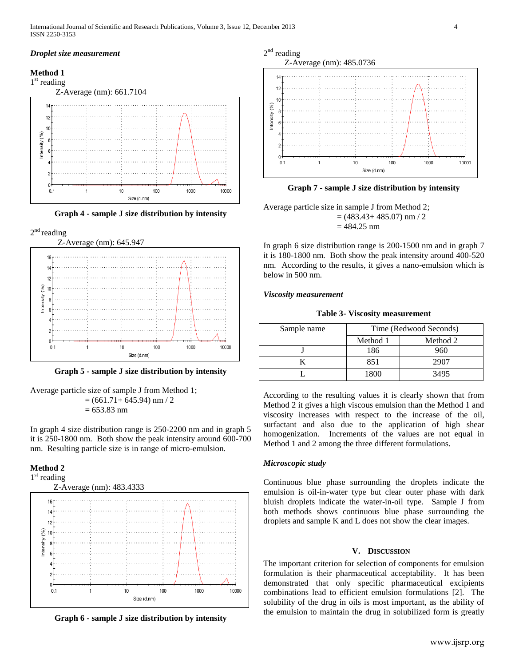#### *Droplet size measurement*

## **Method 1**



**Graph 4 - sample J size distribution by intensity**





**Graph 5 - sample J size distribution by intensity**

Average particle size of sample J from Method 1;  $= (661.71 + 645.94)$  nm  $/ 2$  $= 653.83$  nm

In graph 4 size distribution range is 250-2200 nm and in graph 5 it is 250-1800 nm. Both show the peak intensity around 600-700 nm. Resulting particle size is in range of micro-emulsion.

## **Method 2**



**Graph 6 - sample J size distribution by intensity**



**Graph 7 - sample J size distribution by intensity**

Average particle size in sample J from Method 2;  $= (483.43 + 485.07)$  nm  $/ 2$  $= 484.25$  nm

In graph 6 size distribution range is 200-1500 nm and in graph 7 it is 180-1800 nm. Both show the peak intensity around 400-520 nm. According to the results, it gives a nano-emulsion which is below in 500 nm.

#### *Viscosity measurement*

**Table 3- Viscosity measurement**

| Sample name |          | Time (Redwood Seconds) |  |
|-------------|----------|------------------------|--|
|             | Method 1 | Method 2               |  |
|             | 186      | 960                    |  |
|             | 851      | 2907                   |  |
|             | 1800     | 3495                   |  |

According to the resulting values it is clearly shown that from Method 2 it gives a high viscous emulsion than the Method 1 and viscosity increases with respect to the increase of the oil, surfactant and also due to the application of high shear homogenization. Increments of the values are not equal in Method 1 and 2 among the three different formulations.

#### *Microscopic study*

Continuous blue phase surrounding the droplets indicate the emulsion is oil-in-water type but clear outer phase with dark bluish droplets indicate the water-in-oil type. Sample J from both methods shows continuous blue phase surrounding the droplets and sample K and L does not show the clear images.

## **V. DISCUSSION**

The important criterion for selection of components for emulsion formulation is their pharmaceutical acceptability. It has been demonstrated that only specific pharmaceutical excipients combinations lead to efficient emulsion formulations [2]. The solubility of the drug in oils is most important, as the ability of the emulsion to maintain the drug in solubilized form is greatly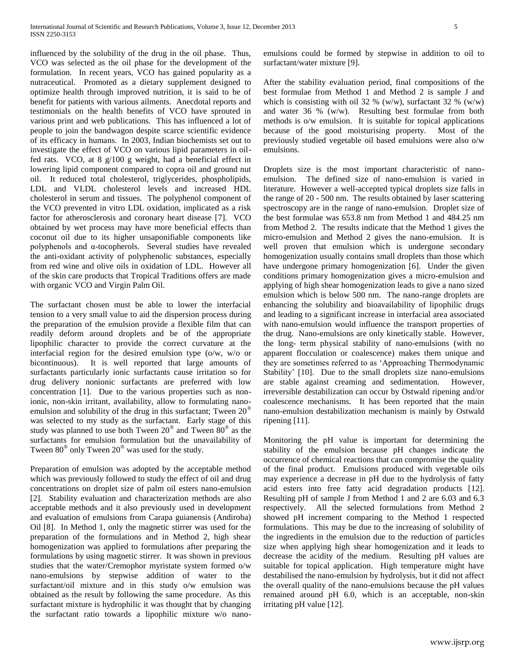influenced by the solubility of the drug in the oil phase. Thus, VCO was selected as the oil phase for the development of the formulation. In recent years, VCO has gained popularity as a nutraceutical. Promoted as a dietary supplement designed to optimize health through improved nutrition, it is said to be of benefit for patients with various ailments. Anecdotal reports and testimonials on the health benefits of VCO have sprouted in various print and web publications. This has influenced a lot of people to join the bandwagon despite scarce scientific evidence of its efficacy in humans. In 2003, Indian biochemists set out to investigate the effect of VCO on various lipid parameters in oilfed rats. VCO, at 8 g/100 g weight, had a beneficial effect in lowering lipid component compared to copra oil and ground nut oil. It reduced total cholesterol, triglycerides, phospholipids, LDL and VLDL cholesterol levels and increased HDL cholesterol in serum and tissues. The polyphenol component of the VCO prevented in vitro LDL oxidation, implicated as a risk factor for atherosclerosis and coronary heart disease [7]. VCO obtained by wet process may have more beneficial effects than coconut oil due to its higher unsaponifiable components like polyphenols and α-tocopherols. Several studies have revealed the anti-oxidant activity of polyphenolic substances, especially from red wine and olive oils in oxidation of LDL. However all of the skin care products that Tropical Traditions offers are made with organic VCO and Virgin Palm Oil.

The surfactant chosen must be able to lower the interfacial tension to a very small value to aid the dispersion process during the preparation of the emulsion provide a flexible film that can readily deform around droplets and be of the appropriate lipophilic character to provide the correct curvature at the interfacial region for the desired emulsion type (o/w, w/o or bicontinuous). It is well reported that large amounts of surfactants particularly ionic surfactants cause irritation so for drug delivery nonionic surfactants are preferred with low concentration [1]. Due to the various properties such as nonionic, non-skin irritant, availability, allow to formulating nanoemulsion and solubility of the drug in this surfactant; Tween 20<sup>®</sup> was selected to my study as the surfactant. Early stage of this study was planned to use both Tween  $20^{\circ}$  and Tween  $80^{\circ}$  as the surfactants for emulsion formulation but the unavailability of Tween  $80^{\circ}$  only Tween  $20^{\circ}$  was used for the study.

Preparation of emulsion was adopted by the acceptable method which was previously followed to study the effect of oil and drug concentrations on droplet size of palm oil esters nano-emulsion [2]. Stability evaluation and characterization methods are also acceptable methods and it also previously used in development and evaluation of emulsions from Carapa guianensis (Andiroba) Oil [8]. In Method 1, only the magnetic stirrer was used for the preparation of the formulations and in Method 2, high shear homogenization was applied to formulations after preparing the formulations by using magnetic stirrer. It was shown in previous studies that the water/Cremophor myristate system formed o/w nano-emulsions by stepwise addition of water to the surfactant/oil mixture and in this study o/w emulsion was obtained as the result by following the same procedure. As this surfactant mixture is hydrophilic it was thought that by changing the surfactant ratio towards a lipophilic mixture w/o nanoemulsions could be formed by stepwise in addition to oil to surfactant/water mixture [9].

After the stability evaluation period, final compositions of the best formulae from Method 1 and Method 2 is sample J and which is consisting with oil 32 % (w/w), surfactant 32 % (w/w) and water 36 % (w/w). Resulting best formulae from both methods is o/w emulsion. It is suitable for topical applications because of the good moisturising property. Most of the previously studied vegetable oil based emulsions were also o/w emulsions.

Droplets size is the most important characteristic of nanoemulsion. The defined size of nano-emulsion is varied in literature. However a well-accepted typical droplets size falls in the range of 20 - 500 nm. The results obtained by laser scattering spectroscopy are in the range of nano-emulsion. Droplet size of the best formulae was 653.8 nm from Method 1 and 484.25 nm from Method 2. The results indicate that the Method 1 gives the micro-emulsion and Method 2 gives the nano-emulsion. It is well proven that emulsion which is undergone secondary homogenization usually contains small droplets than those which have undergone primary homogenization [6]. Under the given conditions primary homogenization gives a micro-emulsion and applying of high shear homogenization leads to give a nano sized emulsion which is below 500 nm. The nano-range droplets are enhancing the solubility and bioavailability of lipophilic drugs and leading to a significant increase in interfacial area associated with nano-emulsion would influence the transport properties of the drug. Nano-emulsions are only kinetically stable. However, the long- term physical stability of nano-emulsions (with no apparent flocculation or coalescence) makes them unique and they are sometimes referred to as 'Approaching Thermodynamic Stability' [10]. Due to the small droplets size nano-emulsions are stable against creaming and sedimentation. However, irreversible destabilization can occur by Ostwald ripening and/or coalescence mechanisms. It has been reported that the main nano-emulsion destabilization mechanism is mainly by Ostwald ripening [11].

Monitoring the pH value is important for determining the stability of the emulsion because pH changes indicate the occurrence of chemical reactions that can compromise the quality of the final product. Emulsions produced with vegetable oils may experience a decrease in pH due to the hydrolysis of fatty acid esters into free fatty acid degradation products [12]. Resulting pH of sample J from Method 1 and 2 are 6.03 and 6.3 respectively. All the selected formulations from Method 2 showed pH increment comparing to the Method 1 respected formulations. This may be due to the increasing of solubility of the ingredients in the emulsion due to the reduction of particles size when applying high shear homogenization and it leads to decrease the acidity of the medium. Resulting pH values are suitable for topical application. High temperature might have destabilised the nano-emulsion by hydrolysis, but it did not affect the overall quality of the nano-emulsions because the pH values remained around pH 6.0, which is an acceptable, non-skin irritating pH value [12].